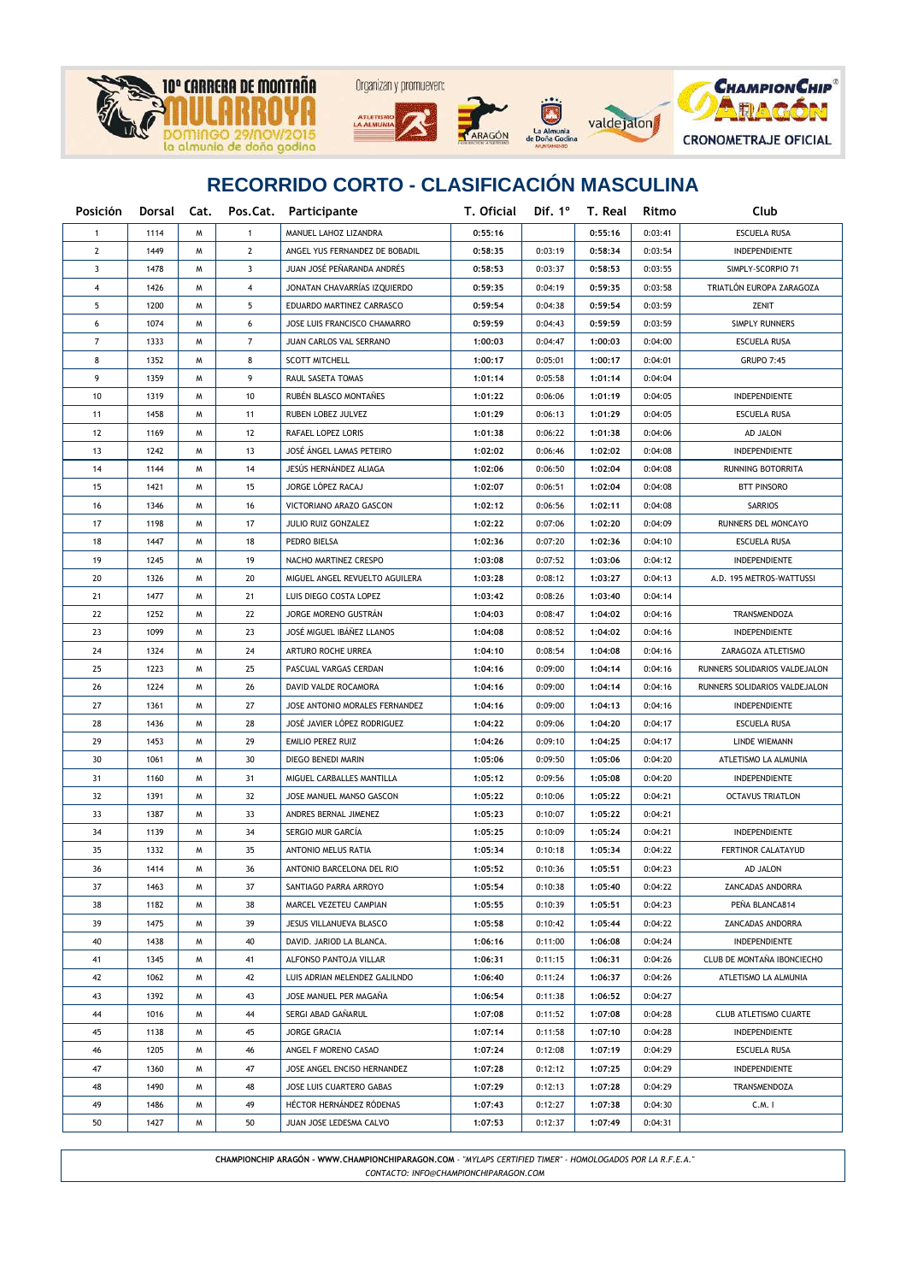

| <b>Posición</b>         | Dorsal Cat. |   |                | Pos.Cat. Participante          | T. Oficial Dif. 1° T. Real |         |         | Ritmo   | Club                          |
|-------------------------|-------------|---|----------------|--------------------------------|----------------------------|---------|---------|---------|-------------------------------|
| 1                       | 1114        | W | $\mathbf{1}$   | MANUEL LAHOZ LIZANDRA          | 0:55:16                    |         | 0:55:16 | 0:03:41 | ESCUELA RUSA                  |
| 2                       | 1449        | W | $\mathbf{2}$   | ANGEL YUS FERNANDEZ DE BOBADIL | 0:58:35                    | 0:03:19 | 0:58:34 | 0:03:54 | INDEPENDIENTE                 |
| 3                       | 1478        | W | 3              | JUAN JOSÉ PEÑARANDA ANDRÉS     | 0:58:53                    | 0:03:37 | 0:58:53 | 0:03:55 | SIMPLY-SCORPIO 71             |
| $\overline{\mathbf{4}}$ | 1426        | м | 4              | JONATAN CHAVARRÍAS IZQUIERDO   | 0:59:35                    | 0:04:19 | 0:59:35 | 0:03:58 | TRIATLÓN EUROPA ZARAGOZA      |
| 5                       | 1200        | м | 5              | EDUARDO MARTINEZ CARRASCO      | 0:59:54                    | 0:04:38 | 0:59:54 | 0:03:59 | ZENIT                         |
| 6                       | 1074        | м | 6              | JOSE LUIS FRANCISCO CHAMARRO   | 0:59:59                    | 0:04:43 | 0:59:59 | 0:03:59 | SIMPLY RUNNERS                |
| $\overline{7}$          | 1333        | м | $\overline{7}$ | JUAN CARLOS VAL SERRANO        | 1:00:03                    | 0:04:47 | 1:00:03 | 0:04:00 | ESCUELA RUSA                  |
| 8                       | 1352        | м | 8              | <b>SCOTT MITCHELL</b>          | 1:00:17                    | 0:05:01 | 1:00:17 | 0:04:01 | <b>GRUPO 7:45</b>             |
| 9                       | 1359        | м | 9              | RAUL SASETA TOMAS              | 1:01:14                    | 0:05:58 | 1:01:14 | 0:04:04 |                               |
| 10                      | 1319        | м | 10             | RUBÉN BLASCO MONTAÑES          | 1:01:22                    | 0:06:06 | 1:01:19 | 0:04:05 | <b>INDEPENDIENTE</b>          |
| 11                      | 1458        | м | 11             | RUBEN LOBEZ JULVEZ             | 1:01:29                    | 0:06:13 | 1:01:29 | 0:04:05 | ESCUELA RUSA                  |
| 12                      | 1169        | м | 12             | RAFAEL LOPEZ LORIS             | 1:01:38                    | 0:06:22 | 1:01:38 | 0:04:06 | AD JALON                      |
| 13                      | 1242        | м | 13             | JOSÉ ÁNGEL LAMAS PETEIRO       | 1:02:02                    | 0:06:46 | 1:02:02 | 0:04:08 | INDEPENDIENTE                 |
| 14                      | 1144        | м | 14             | JESÜS HERNANDEZ ALIAGA         | 1:02:06                    | 0:06:50 | 1:02:04 | 0:04:08 | RUNNING BOTORRITA             |
| 15                      | 1421        | м | 15             | JORGE LÓPEZ RACAJ              | 1:02:07                    | 0:06:51 | 1:02:04 | 0:04:08 | <b>BTT PINSORO</b>            |
| 16                      | 1346        | м | 16             | VICTORIANO ARAZO GASCON        | 1:02:12                    | 0:06:56 | 1:02:11 | 0:04:08 | <b>SARRIOS</b>                |
| 17                      | 1198        | м | 17             | JULIO RUIZ GONZALEZ            | 1:02:22                    | 0:07:06 | 1:02:20 | 0:04:09 | RUNNERS DEL MONCAYO           |
| 18                      | 1447        | м | 18             | PEDRO BIELSA                   | 1:02:36                    | 0:07:20 | 1:02:36 | 0:04:10 | ESCUELA RUSA                  |
| 19                      | 1245        | м | 19             | NACHO MARTINEZ CRESPO          | 1:03:08                    | 0:07:52 | 1:03:06 | 0:04:12 | INDEPENDIENTE                 |
| 20                      | 1326        | м | 20             | MIGUEL ANGEL REVUELTO AGUILERA | 1:03:28                    | 0:08:12 | 1:03:27 | 0:04:13 | A.D. 195 METROS-WATTUSSI      |
| 21                      | 1477        | м | 21             | LUIS DIEGO COSTA LOPEZ         | 1:03:42                    | 0:08:26 | 1:03:40 | 0:04:14 |                               |
| 22                      | 1252        | м | 22             | JORGE MORENO GUSTRÁN           | 1:04:03                    | 0:08:47 | 1:04:02 | 0:04:16 | TRANSMENDOZA                  |
| 23                      | 1099        | м | 23             | JOSÉ MIGUEL IBÁÑEZ LLANOS      | 1:04:08                    | 0:08:52 | 1:04:02 | 0:04:16 | INDEPENDIENTE                 |
| 24                      | 1324        | м | 24             | ARTURO ROCHE URREA             | 1:04:10                    | 0:08:54 | 1:04:08 | 0:04:16 | ZARAGOZA ATLETISMO            |
| 25                      | 1223        | м | 25             | PASCUAL VARGAS CERDAN          | 1:04:16                    | 0:09:00 | 1:04:14 | 0:04:16 | RUNNERS SOLIDARIOS VALDEJALON |
| 26                      | 1224        | м | 26             | DAVID VALDE ROCAMORA           | 1:04:16                    | 0:09:00 | 1:04:14 | 0:04:16 | RUNNERS SOLIDARIOS VALDEJALON |
| 27                      | 1361        | м | 27             | JOSE ANTONIO MORALES FERNANDEZ | 1:04:16                    | 0:09:00 | 1:04:13 | 0:04:16 | INDEPENDIENTE                 |
| 28                      | 1436        | м | 28             | JOSÉ JAVIER LÓPEZ RODRIGUEZ    | 1:04:22                    | 0:09:06 | 1:04:20 | 0:04:17 | ESCUELA RUSA                  |
| 29                      | 1453        | м | 29             | EMILIO PEREZ RUIZ              | 1:04:26                    | 0:09:10 | 1:04:25 | 0:04:17 | LINDE WIEMANN                 |
| 30                      | 1061        | м | 30             | DIEGO BENEDI MARIN             | 1:05:06                    | 0:09:50 | 1:05:06 | 0:04:20 | ATLETISMO LA ALMUNIA          |
| 31                      | 1160        | м | 31             | MIGUEL CARBALLES MANTILLA      | 1:05:12                    | 0:09:56 | 1:05:08 | 0:04:20 | INDEPENDIENTE                 |
| 32                      | 1391        | м | 32             | JOSE MANUEL MANSO GASCON       | 1:05:22                    | 0:10:06 | 1:05:22 | 0:04:21 | <b>OCTAVUS TRIATLON</b>       |
| 33                      | 1387        | м | 33             | ANDRES BERNAL JIMENEZ          | 1:05:23                    | 0:10:07 | 1:05:22 | 0:04:21 |                               |
| 34                      | 1139        | м | 34             | SERGIO MUR GARCÍA              | 1:05:25                    | 0:10:09 | 1:05:24 | 0:04:21 | <b>INDEPENDIENTE</b>          |
| 35                      | 1332        | м | 35             | <b>ANTONIO MELUS RATIA</b>     | 1:05:34                    | 0:10:18 | 1:05:34 | 0:04:22 | FERTINOR CALATAYUD            |
| 36                      | 1414        | м | 36             | ANTONIO BARCELONA DEL RIO      | 1:05:52                    | 0:10:36 | 1:05:51 | 0:04:23 | AD JALON                      |
| 37                      | 1463        | W | 37             | SANTIAGO PARRA ARROYO          | 1:05:54                    | 0:10:38 | 1:05:40 | 0:04:22 | ZANCADAS ANDORRA              |
| 38                      | 1182        | м | 38             | MARCEL VEZETEU CAMPIAN         | 1:05:55                    | 0:10:39 | 1:05:51 | 0:04:23 | PEÑA BLANCA814                |
| 39                      | 1475        | м | 39             | JESUS VILLANUEVA BLASCO        | 1:05:58                    | 0:10:42 | 1:05:44 | 0:04:22 | ZANCADAS ANDORRA              |
| 40                      | 1438        | м | 40             | DAVID. JARIOD LA BLANCA.       | 1:06:16                    | 0:11:00 | 1:06:08 | 0:04:24 | INDEPENDIENTE                 |
| 41                      | 1345        | м | 41             | ALFONSO PANTOJA VILLAR         | 1:06:31                    | 0:11:15 | 1:06:31 | 0:04:26 | CLUB DE MONTAÑA IBONCIECHO    |
| 42                      | 1062        | м | 42             | LUIS ADRIAN MELENDEZ GALILNDO  | 1:06:40                    | 0:11:24 | 1:06:37 | 0:04:26 | ATLETISMO LA ALMUNIA          |
| 43                      | 1392        | Μ | 43             | JOSE MANUEL PER MAGAÑA         | 1:06:54                    | 0:11:38 | 1:06:52 | 0:04:27 |                               |
| 44                      | 1016        | Μ | 44             | SERGI ABAD GAÑARUL             | 1:07:08                    | 0:11:52 | 1:07:08 | 0:04:28 | CLUB ATLETISMO CUARTE         |
| 45                      | 1138        | Μ | 45             | <b>JORGE GRACIA</b>            | 1:07:14                    | 0:11:58 | 1:07:10 | 0:04:28 | INDEPENDIENTE                 |
| 46                      | 1205        | Μ | 46             | ANGEL F MORENO CASAO           | 1:07:24                    | 0:12:08 | 1:07:19 | 0:04:29 | ESCUELA RUSA                  |
| 47                      | 1360        | Μ | 47             | JOSE ANGEL ENCISO HERNANDEZ    | 1:07:28                    | 0:12:12 | 1:07:25 | 0:04:29 | INDEPENDIENTE                 |
| 48                      | 1490        | Μ | 48             | JOSE LUIS CUARTERO GABAS       | 1:07:29                    | 0:12:13 | 1:07:28 | 0:04:29 | TRANSMENDOZA                  |
| 49                      | 1486        | м | 49             | HÉCTOR HERNÁNDEZ RÓDENAS       | 1:07:43                    | 0:12:27 | 1:07:38 | 0:04:30 | C.M. I                        |
| 50                      | 1427        | м | 50             | JUAN JOSE LEDESMA CALVO        | 1:07:53                    | 0:12:37 | 1:07:49 | 0:04:31 |                               |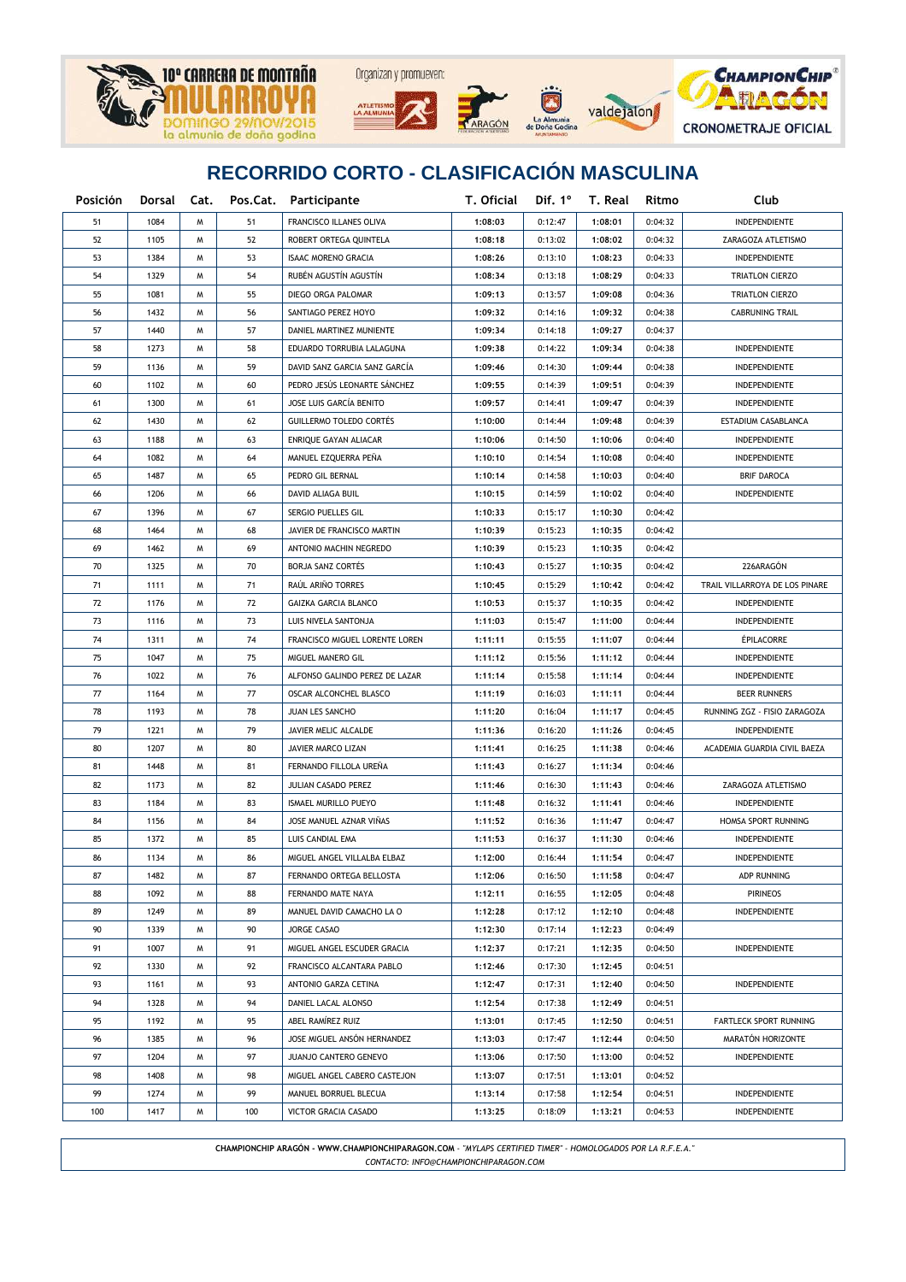







| <b>Posición</b> |      |   |     | Dorsal Cat. Pos.Cat. Participante | T. Oficial |         | Dif. $1^{\circ}$ T. Real | Ritmo   | Club                           |
|-----------------|------|---|-----|-----------------------------------|------------|---------|--------------------------|---------|--------------------------------|
| 51              | 1084 | W | 51  | FRANCISCO ILLANES OLIVA           | 1:08:03    | 0:12:47 | 1:08:01                  | 0:04:32 | INDEPENDIENTE                  |
| 52              | 1105 | м | 52  | ROBERT ORTEGA QUINTELA            | 1:08:18    | 0:13:02 | 1:08:02                  | 0:04:32 | ZARAGOZA ATLETISMO             |
| 53              | 1384 | м | 53  | <b>ISAAC MORENO GRACIA</b>        | 1:08:26    | 0:13:10 | 1:08:23                  | 0:04:33 | INDEPENDIENTE                  |
| 54              | 1329 | м | 54  | RUBÉN AGUSTÍN AGUSTÍN             | 1:08:34    | 0:13:18 | 1:08:29                  | 0:04:33 | TRIATLON CIERZO                |
| 55              | 1081 | м | 55  | DIEGO ORGA PALOMAR                | 1:09:13    | 0:13:57 | 1:09:08                  | 0:04:36 | TRIATLON CIERZO                |
| 56              | 1432 | м | 56  | SANTIAGO PEREZ HOYO               | 1:09:32    | 0:14:16 | 1:09:32                  | 0:04:38 | <b>CABRUNING TRAIL</b>         |
| 57              | 1440 | м | 57  | DANIEL MARTINEZ MUNIENTE          | 1:09:34    | 0:14:18 | 1:09:27                  | 0:04:37 |                                |
| 58              | 1273 | м | 58  | EDUARDO TORRUBIA LALAGUNA         | 1:09:38    | 0:14:22 | 1:09:34                  | 0:04:38 | INDEPENDIENTE                  |
| 59              | 1136 | м | 59  | DAVID SANZ GARCIA SANZ GARCÍA     | 1:09:46    | 0:14:30 | 1:09:44                  | 0:04:38 | INDEPENDIENTE                  |
| 60              | 1102 | м | 60  | PEDRO JESÚS LEONARTE SÁNCHEZ      | 1:09:55    | 0:14:39 | 1:09:51                  | 0:04:39 | INDEPENDIENTE                  |
| 61              | 1300 | м | 61  | JOSE LUIS GARCÍA BENITO           | 1:09:57    | 0:14:41 | 1:09:47                  | 0:04:39 | INDEPENDIENTE                  |
| 62              | 1430 | м | 62  | <b>GUILLERMO TOLEDO CORTÉS</b>    | 1:10:00    | 0:14:44 | 1:09:48                  | 0:04:39 | ESTADIUM CASABLANCA            |
| 63              | 1188 | м | 63  | ENRIQUE GAYAN ALIACAR             | 1:10:06    | 0:14:50 | 1:10:06                  | 0:04:40 | INDEPENDIENTE                  |
| 64              | 1082 | м | 64  | MANUEL EZQUERRA PEÑA              | 1:10:10    | 0:14:54 | 1:10:08                  | 0:04:40 | INDEPENDIENTE                  |
| 65              | 1487 | м | 65  | PEDRO GIL BERNAL                  | 1:10:14    | 0:14:58 | 1:10:03                  | 0:04:40 | <b>BRIF DAROCA</b>             |
| 66              | 1206 | м | 66  | DAVID ALIAGA BUIL                 | 1:10:15    | 0:14:59 | 1:10:02                  | 0:04:40 | INDEPENDIENTE                  |
| 67              | 1396 | м | 67  | SERGIO PUELLES GIL                | 1:10:33    | 0:15:17 | 1:10:30                  | 0:04:42 |                                |
| 68              | 1464 | м | 68  | JAVIER DE FRANCISCO MARTIN        | 1:10:39    | 0:15:23 | 1:10:35                  | 0:04:42 |                                |
| 69              | 1462 | м | 69  | ANTONIO MACHIN NEGREDO            | 1:10:39    | 0:15:23 | 1:10:35                  | 0:04:42 |                                |
| 70              | 1325 | W | 70  | BORJA SANZ CORTÉS                 | 1:10:43    | 0:15:27 | 1:10:35                  | 0:04:42 | 226ARAGÓN                      |
| 71              | 1111 | M | 71  | RAÚL ARIÑO TORRES                 | 1:10:45    | 0:15:29 | 1:10:42                  | 0:04:42 | TRAIL VILLARROYA DE LOS PINARE |
| 72              | 1176 | M | 72  | GAIZKA GARCIA BLANCO              | 1:10:53    | 0:15:37 | 1:10:35                  | 0:04:42 | INDEPENDIENTE                  |
| 73              | 1116 | M | 73  | LUIS NIVELA SANTONJA              | 1:11:03    | 0:15:47 | 1:11:00                  | 0:04:44 | INDEPENDIENTE                  |
| 74              | 1311 | м | 74  | FRANCISCO MIGUEL LORENTE LOREN    | 1:11:11    | 0:15:55 | 1:11:07                  | 0:04:44 | ÉPILACORRE                     |
| 75              | 1047 | м | 75  | MIGUEL MANERO GIL                 | 1:11:12    | 0:15:56 | 1:11:12                  | 0:04:44 | INDEPENDIENTE                  |
| 76              | 1022 | M | 76  | ALFONSO GALINDO PEREZ DE LAZAR    | 1:11:14    | 0:15:58 | 1:11:14                  | 0:04:44 | INDEPENDIENTE                  |
| 77              | 1164 | м | 77  | OSCAR ALCONCHEL BLASCO            | 1:11:19    | 0:16:03 | 1:11:11                  | 0:04:44 | <b>BEER RUNNERS</b>            |
| 78              | 1193 | M | 78  | <b>JUAN LES SANCHO</b>            | 1:11:20    | 0:16:04 | 1:11:17                  | 0:04:45 | RUNNING ZGZ - FISIO ZARAGOZA   |
| 79              | 1221 | M | 79  | JAVIER MELIC ALCALDE              | 1:11:36    | 0:16:20 | 1:11:26                  | 0:04:45 | INDEPENDIENTE                  |
| 80              | 1207 | M | 80  | JAVIER MARCO LIZAN                | 1:11:41    | 0:16:25 | 1:11:38                  | 0:04:46 | ACADEMIA GUARDIA CIVIL BAEZA   |
| 81              | 1448 | м | 81  | FERNANDO FILLOLA UREÑA            | 1:11:43    | 0:16:27 | 1:11:34                  | 0:04:46 |                                |
| 82              | 1173 | M | 82  | JULIAN CASADO PEREZ               | 1:11:46    | 0:16:30 | 1:11:43                  | 0:04:46 | ZARAGOZA ATLETISMO             |
| 83              | 1184 | M | 83  | <b>ISMAEL MURILLO PUEYO</b>       | 1:11:48    | 0:16:32 | 1:11:41                  | 0:04:46 | INDEPENDIENTE                  |
| 84              | 1156 | M | 84  | JOSE MANUEL AZNAR VIÑAS           | 1:11:52    | 0:16:36 | 1:11:47                  | 0:04:47 | HOMSA SPORT RUNNING            |
| 85              | 1372 | M | 85  | LUIS CANDIAL EMA                  | 1:11:53    | 0:16:37 | 1:11:30                  | 0:04:46 | INDEPENDIENTE                  |
| 86              | 1134 | M | 86  | MIGUEL ANGEL VILLALBA ELBAZ       | 1:12:00    | 0:16:44 | 1:11:54                  | 0:04:47 | INDEPENDIENTE                  |
| 87              | 1482 | M | 87  | FERNANDO ORTEGA BELLOSTA          | 1:12:06    | 0:16:50 | 1:11:58                  | 0:04:47 |                                |
| 88              | 1092 | M | 88  | FERNANDO MATE NAYA                | 1:12:11    | 0:16:55 | 1:12:05                  | 0:04:48 | ADP RUNNING<br><b>PIRINEOS</b> |
| 89              | 1249 | W | 89  | MANUEL DAVID CAMACHO LA O         | 1:12:28    | 0:17:12 | 1:12:10                  | 0:04:48 | INDEPENDIENTE                  |
| 90              | 1339 | Μ | 90  | JORGE CASAO                       | 1:12:30    | 0:17:14 | 1:12:23                  | 0:04:49 |                                |
|                 |      |   |     | MIGUEL ANGEL ESCUDER GRACIA       |            |         |                          |         |                                |
| 91              | 1007 | Μ | 91  |                                   | 1:12:37    | 0:17:21 | 1:12:35                  | 0:04:50 | INDEPENDIENTE                  |
| 92              | 1330 | Μ | 92  | FRANCISCO ALCANTARA PABLO         | 1:12:46    | 0:17:30 | 1:12:45                  | 0:04:51 |                                |
| 93              | 1161 | W | 93  | ANTONIO GARZA CETINA              | 1:12:47    | 0:17:31 | 1:12:40                  | 0:04:50 | INDEPENDIENTE                  |
| 94              | 1328 | Μ | 94  | DANIEL LACAL ALONSO               | 1:12:54    | 0:17:38 | 1:12:49                  | 0:04:51 |                                |
| 95              | 1192 | Μ | 95  | ABEL RAMÍREZ RUIZ                 | 1:13:01    | 0:17:45 | 1:12:50                  | 0:04:51 | FARTLECK SPORT RUNNING         |
| 96              | 1385 | Μ | 96  | JOSE MIGUEL ANSÓN HERNANDEZ       | 1:13:03    | 0:17:47 | 1:12:44                  | 0:04:50 | MARATÓN HORIZONTE              |
| 97              | 1204 | Μ | 97  | JUANJO CANTERO GENEVO             | 1:13:06    | 0:17:50 | 1:13:00                  | 0:04:52 | INDEPENDIENTE                  |
| 98              | 1408 | Μ | 98  | MIGUEL ANGEL CABERO CASTEJON      | 1:13:07    | 0:17:51 | 1:13:01                  | 0:04:52 |                                |
| 99              | 1274 | Μ | 99  | MANUEL BORRUEL BLECUA             | 1:13:14    | 0:17:58 | 1:12:54                  | 0:04:51 | INDEPENDIENTE                  |
| 100             | 1417 | W | 100 | VICTOR GRACIA CASADO              | 1:13:25    | 0:18:09 | 1:13:21                  | 0:04:53 | INDEPENDIENTE                  |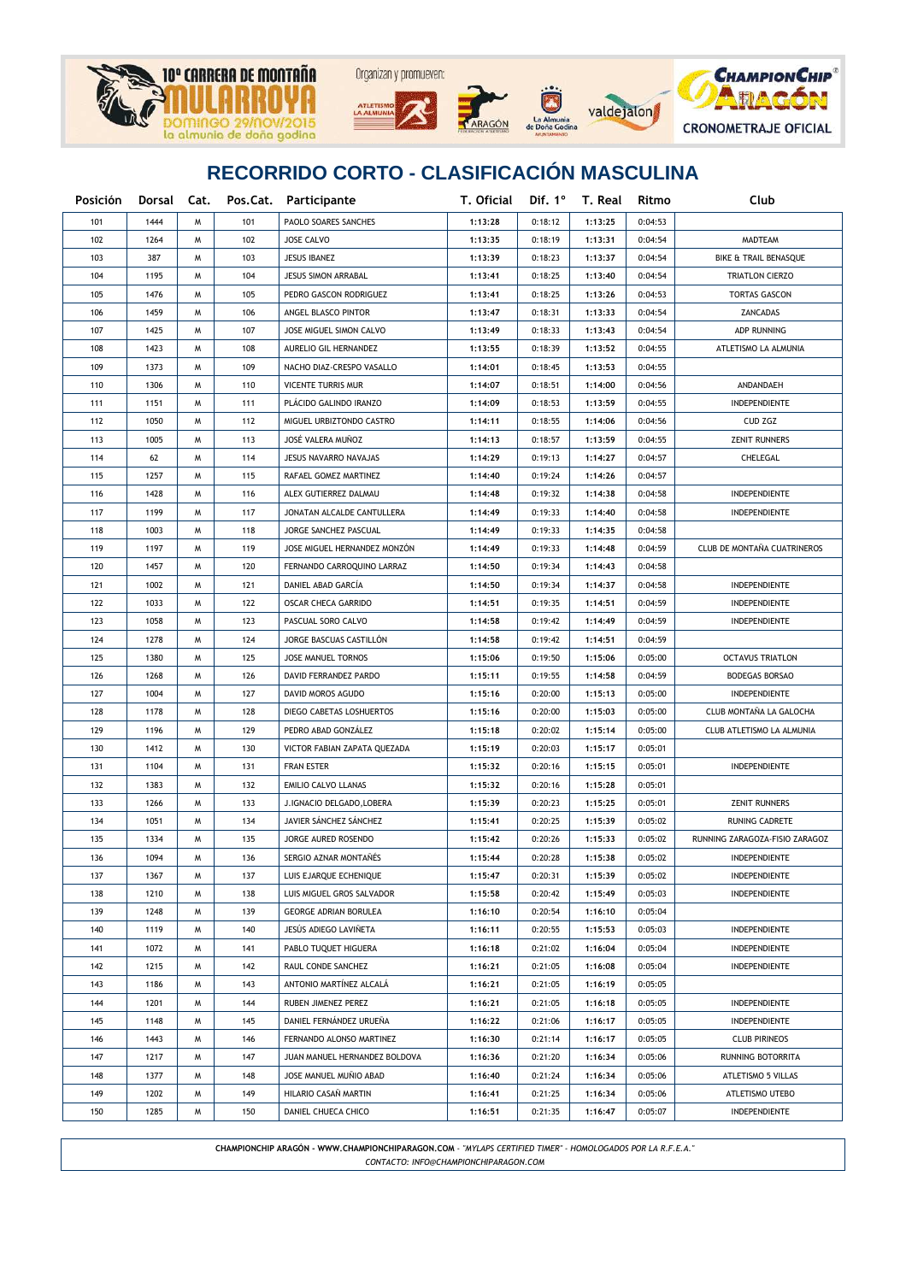





La Almunia<br>Doña God



# **RECORRIDO CORTO - CLASIFICACIÓN MASCULINA**

| Posición | Dorsal Cat. |   |     | Pos.Cat. Participante         | T. Oficial | Dif. $1^\circ$ | T. Real | Ritmo   | Club                           |
|----------|-------------|---|-----|-------------------------------|------------|----------------|---------|---------|--------------------------------|
| 101      | 1444        | M | 101 | PAOLO SOARES SANCHES          | 1:13:28    | 0:18:12        | 1:13:25 | 0:04:53 |                                |
| 102      | 1264        | M | 102 | <b>JOSE CALVO</b>             | 1:13:35    | 0:18:19        | 1:13:31 | 0:04:54 | <b>MADTEAM</b>                 |
| 103      | 387         | м | 103 | <b>JESUS IBANEZ</b>           | 1:13:39    | 0:18:23        | 1:13:37 | 0:04:54 | BIKE & TRAIL BENASQUE          |
| 104      | 1195        | м | 104 | JESUS SIMON ARRABAL           | 1:13:41    | 0:18:25        | 1:13:40 | 0:04:54 | <b>TRIATLON CIERZO</b>         |
| 105      | 1476        | м | 105 | PEDRO GASCON RODRIGUEZ        | 1:13:41    | 0:18:25        | 1:13:26 | 0:04:53 | <b>TORTAS GASCON</b>           |
| 106      | 1459        | м | 106 | ANGEL BLASCO PINTOR           | 1:13:47    | 0:18:31        | 1:13:33 | 0:04:54 | ZANCADAS                       |
| 107      | 1425        | м | 107 | JOSE MIGUEL SIMON CALVO       | 1:13:49    | 0:18:33        | 1:13:43 | 0:04:54 | ADP RUNNING                    |
| 108      | 1423        | м | 108 | AURELIO GIL HERNANDEZ         | 1:13:55    | 0:18:39        | 1:13:52 | 0:04:55 | ATLETISMO LA ALMUNIA           |
| 109      | 1373        | м | 109 | NACHO DIAZ-CRESPO VASALLO     | 1:14:01    | 0:18:45        | 1:13:53 | 0:04:55 |                                |
| 110      | 1306        | м | 110 | <b>VICENTE TURRIS MUR</b>     | 1:14:07    | 0:18:51        | 1:14:00 | 0:04:56 | ANDANDAEH                      |
| 111      | 1151        | м | 111 | PLÁCIDO GALINDO IRANZO        | 1:14:09    | 0:18:53        | 1:13:59 | 0:04:55 | INDEPENDIENTE                  |
| 112      | 1050        | м | 112 | MIGUEL URBIZTONDO CASTRO      | 1:14:11    | 0:18:55        | 1:14:06 | 0:04:56 | CUD ZGZ                        |
| 113      | 1005        | м | 113 | JOSÉ VALERA MUÑOZ             | 1:14:13    | 0:18:57        | 1:13:59 | 0:04:55 | <b>ZENIT RUNNERS</b>           |
| 114      | 62          | м | 114 | JESUS NAVARRO NAVAJAS         | 1:14:29    | 0:19:13        | 1:14:27 | 0:04:57 | CHELEGAL                       |
| 115      | 1257        | м | 115 | RAFAEL GOMEZ MARTINEZ         | 1:14:40    | 0:19:24        | 1:14:26 | 0:04:57 |                                |
| 116      | 1428        | м | 116 | ALEX GUTIERREZ DALMAU         | 1:14:48    | 0:19:32        | 1:14:38 | 0:04:58 | INDEPENDIENTE                  |
| 117      | 1199        | м | 117 | JONATAN ALCALDE CANTULLERA    | 1:14:49    | 0:19:33        | 1:14:40 | 0:04:58 | INDEPENDIENTE                  |
| 118      | 1003        | м | 118 | JORGE SANCHEZ PASCUAL         | 1:14:49    | 0:19:33        | 1:14:35 | 0:04:58 |                                |
| 119      | 1197        | м | 119 | JOSE MIGUEL HERNANDEZ MONZÓN  | 1:14:49    | 0:19:33        | 1:14:48 | 0:04:59 | CLUB DE MONTAÑA CUATRINEROS    |
| 120      | 1457        | м | 120 | FERNANDO CARROQUINO LARRAZ    | 1:14:50    | 0:19:34        | 1:14:43 | 0:04:58 |                                |
| 121      | 1002        | M | 121 | DANIEL ABAD GARCIA            | 1:14:50    | 0:19:34        | 1:14:37 | 0:04:58 | INDEPENDIENTE                  |
| 122      | 1033        | M | 122 | OSCAR CHECA GARRIDO           | 1:14:51    | 0:19:35        | 1:14:51 | 0:04:59 | INDEPENDIENTE                  |
| 123      | 1058        | M | 123 | PASCUAL SORO CALVO            | 1:14:58    | 0:19:42        | 1:14:49 | 0:04:59 | INDEPENDIENTE                  |
| 124      | 1278        | M | 124 | JORGE BASCUAS CASTILLON       | 1:14:58    | 0:19:42        | 1:14:51 | 0:04:59 |                                |
| 125      | 1380        | M | 125 | <b>JOSE MANUEL TORNOS</b>     | 1:15:06    | 0:19:50        | 1:15:06 | 0:05:00 | <b>OCTAVUS TRIATLON</b>        |
| 126      | 1268        | M | 126 | DAVID FERRANDEZ PARDO         | 1:15:11    | 0:19:55        | 1:14:58 | 0:04:59 | <b>BODEGAS BORSAO</b>          |
| 127      | 1004        | M | 127 | DAVID MOROS AGUDO             | 1:15:16    | 0:20:00        | 1:15:13 | 0:05:00 | INDEPENDIENTE                  |
| 128      | 1178        | M | 128 | DIEGO CABETAS LOSHUERTOS      | 1:15:16    | 0:20:00        | 1:15:03 | 0:05:00 | CLUB MONTAÑA LA GALOCHA        |
| 129      | 1196        | M | 129 | PEDRO ABAD GONZALEZ           | 1:15:18    | 0:20:02        | 1:15:14 | 0:05:00 | CLUB ATLETISMO LA ALMUNIA      |
| 130      | 1412        | M | 130 | VICTOR FABIAN ZAPATA QUEZADA  | 1:15:19    | 0:20:03        | 1:15:17 | 0:05:01 |                                |
| 131      | 1104        | M | 131 | <b>FRAN ESTER</b>             | 1:15:32    | 0:20:16        | 1:15:15 | 0:05:01 | INDEPENDIENTE                  |
| 132      | 1383        | M | 132 | EMILIO CALVO LLANAS           | 1:15:32    | 0:20:16        | 1:15:28 | 0:05:01 |                                |
| 133      | 1266        | м | 133 | J.IGNACIO DELGADO,LOBERA      | 1:15:39    | 0:20:23        | 1:15:25 | 0:05:01 | <b>ZENIT RUNNERS</b>           |
| 134      | 1051        | м | 134 | JAVIER SÁNCHEZ SÁNCHEZ        | 1:15:41    | 0:20:25        | 1:15:39 | 0:05:02 | RUNING CADRETE                 |
| 135      | 1334        | м | 135 | JORGE AURED ROSENDO           | 1:15:42    | 0:20:26        | 1:15:33 | 0:05:02 | RUNNING ZARAGOZA-FISIO ZARAGOZ |
| 136      | 1094        | M | 136 | SERGIO AZNAR MONTAÑÉS         | 1:15:44    | 0:20:28        | 1:15:38 | 0:05:02 | INDEPENDIENTE                  |
| 137      | 1367        | M | 137 | LUIS EJARQUE ECHENIQUE        | 1:15:47    | 0:20:31        | 1:15:39 | 0:05:02 | INDEPENDIENTE                  |
| 138      | 1210        | м | 138 | LUIS MIGUEL GROS SALVADOR     | 1:15:58    | 0:20:42        | 1:15:49 | 0:05:03 | INDEPENDIENTE                  |
| 139      | 1248        | м | 139 | GEORGE ADRIAN BORULEA         | 1:16:10    | 0:20:54        | 1:16:10 | 0:05:04 |                                |
| 140      | 1119        | M | 140 | JESÚS ADIEGO LAVIÑETA         | 1:16:11    | 0:20:55        | 1:15:53 | 0:05:03 | INDEPENDIENTE                  |
| 141      | 1072        | M | 141 | PABLO TUQUET HIGUERA          | 1:16:18    | 0:21:02        | 1:16:04 | 0:05:04 | INDEPENDIENTE                  |
| 142      | 1215        | M | 142 | RAUL CONDE SANCHEZ            | 1:16:21    | 0:21:05        | 1:16:08 | 0:05:04 | INDEPENDIENTE                  |
| 143      | 1186        | M | 143 | ANTONIO MARTÍNEZ ALCALÁ       | 1:16:21    | 0:21:05        | 1:16:19 | 0:05:05 |                                |
| 144      | 1201        | M | 144 | RUBEN JIMENEZ PEREZ           | 1:16:21    | 0:21:05        | 1:16:18 | 0:05:05 | INDEPENDIENTE                  |
| 145      | 1148        | M | 145 | DANIEL FERNÁNDEZ URUEÑA       | 1:16:22    | 0:21:06        | 1:16:17 | 0:05:05 | INDEPENDIENTE                  |
| 146      | 1443        | M | 146 | FERNANDO ALONSO MARTINEZ      | 1:16:30    | 0:21:14        | 1:16:17 | 0:05:05 | <b>CLUB PIRINEOS</b>           |
| 147      | 1217        | M | 147 | JUAN MANUEL HERNANDEZ BOLDOVA | 1:16:36    | 0:21:20        | 1:16:34 | 0:05:06 | RUNNING BOTORRITA              |
| 148      | 1377        | M | 148 | JOSE MANUEL MUÑIO ABAD        | 1:16:40    | 0:21:24        | 1:16:34 | 0:05:06 | ATLETISMO 5 VILLAS             |
| 149      | 1202        | м | 149 | HILARIO CASAÑ MARTIN          | 1:16:41    | 0:21:25        | 1:16:34 | 0:05:06 | ATLETISMO UTEBO                |
| 150      | 1285        | Μ | 150 | DANIEL CHUECA CHICO           | 1:16:51    | 0:21:35        | 1:16:47 | 0:05:07 | INDEPENDIENTE                  |
|          |             |   |     |                               |            |                |         |         |                                |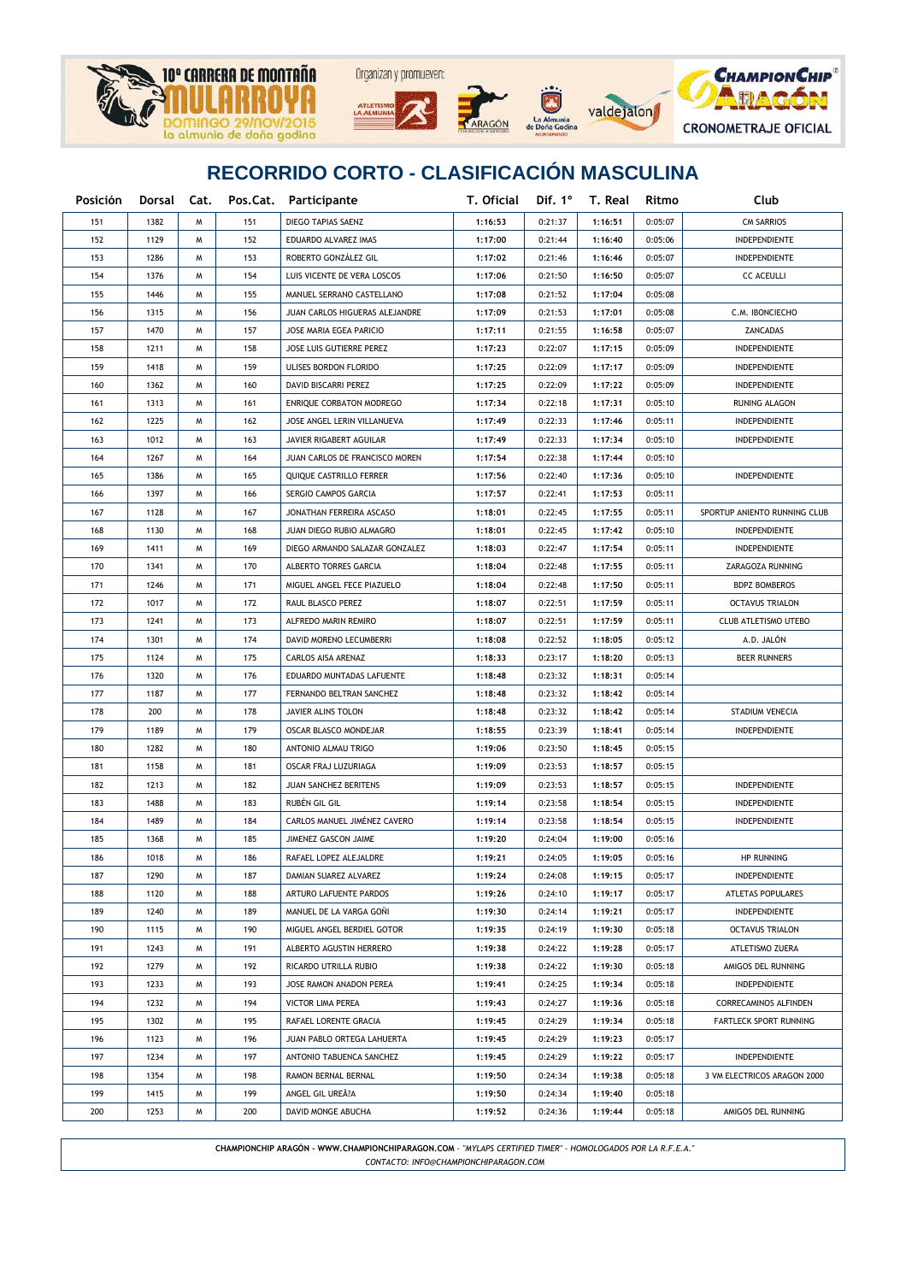



| Posición | Dorsal Cat. |   | Pos.Cat. | Participante                    | T. Oficial |         | Dif. 1° T. Real | Ritmo   | Club                         |
|----------|-------------|---|----------|---------------------------------|------------|---------|-----------------|---------|------------------------------|
| 151      | 1382        | W | 151      | DIEGO TAPIAS SAENZ              | 1:16:53    | 0:21:37 | 1:16:51         | 0:05:07 | <b>CM SARRIOS</b>            |
| 152      | 1129        | м | 152      | EDUARDO ALVAREZ IMAS            | 1:17:00    | 0:21:44 | 1:16:40         | 0:05:06 | INDEPENDIENTE                |
| 153      | 1286        | W | 153      | ROBERTO GONZÁLEZ GIL            | 1:17:02    | 0:21:46 | 1:16:46         | 0:05:07 | INDEPENDIENTE                |
| 154      | 1376        | м | 154      | LUIS VICENTE DE VERA LOSCOS     | 1:17:06    | 0:21:50 | 1:16:50         | 0:05:07 | <b>CC ACEULLI</b>            |
| 155      | 1446        | м | 155      | MANUEL SERRANO CASTELLANO       | 1:17:08    | 0:21:52 | 1:17:04         | 0:05:08 |                              |
| 156      | 1315        | м | 156      | JUAN CARLOS HIGUERAS ALEJANDRE  | 1:17:09    | 0:21:53 | 1:17:01         | 0:05:08 | C.M. IBONCIECHO              |
| 157      | 1470        | м | 157      | JOSE MARIA EGEA PARICIO         | 1:17:11    | 0:21:55 | 1:16:58         | 0:05:07 | ZANCADAS                     |
| 158      | 1211        | м | 158      | JOSE LUIS GUTIERRE PEREZ        | 1:17:23    | 0:22:07 | 1:17:15         | 0:05:09 | INDEPENDIENTE                |
| 159      | 1418        | м | 159      | ULISES BORDON FLORIDO           | 1:17:25    | 0:22:09 | 1:17:17         | 0:05:09 | INDEPENDIENTE                |
| 160      | 1362        | м | 160      | DAVID BISCARRI PEREZ            | 1:17:25    | 0:22:09 | 1:17:22         | 0:05:09 | INDEPENDIENTE                |
| 161      | 1313        | м | 161      | <b>ENRIQUE CORBATON MODREGO</b> | 1:17:34    | 0:22:18 | 1:17:31         | 0:05:10 | RUNING ALAGON                |
| 162      | 1225        | м | 162      | JOSE ANGEL LERIN VILLANUEVA     | 1:17:49    | 0:22:33 | 1:17:46         | 0:05:11 | INDEPENDIENTE                |
| 163      | 1012        | м | 163      | JAVIER RIGABERT AGUILAR         | 1:17:49    | 0:22:33 | 1:17:34         | 0:05:10 | INDEPENDIENTE                |
| 164      | 1267        | м | 164      | JUAN CARLOS DE FRANCISCO MOREN  | 1:17:54    | 0:22:38 | 1:17:44         | 0:05:10 |                              |
| 165      | 1386        | м | 165      | QUIQUE CASTRILLO FERRER         | 1:17:56    | 0:22:40 | 1:17:36         | 0:05:10 | INDEPENDIENTE                |
| 166      | 1397        | м | 166      | SERGIO CAMPOS GARCIA            | 1:17:57    | 0:22:41 | 1:17:53         | 0:05:11 |                              |
| 167      | 1128        | м | 167      | JONATHAN FERREIRA ASCASO        | 1:18:01    | 0:22:45 | 1:17:55         | 0:05:11 | SPORTUP ANIENTO RUNNING CLUB |
| 168      | 1130        | м | 168      | JUAN DIEGO RUBIO ALMAGRO        | 1:18:01    | 0:22:45 | 1:17:42         | 0:05:10 | INDEPENDIENTE                |
| 169      | 1411        | м | 169      | DIEGO ARMANDO SALAZAR GONZALEZ  | 1:18:03    | 0:22:47 | 1:17:54         | 0:05:11 | INDEPENDIENTE                |
| 170      | 1341        | м | 170      | ALBERTO TORRES GARCIA           | 1:18:04    | 0:22:48 | 1:17:55         | 0:05:11 | ZARAGOZA RUNNING             |
| 171      | 1246        | м | 171      | MIGUEL ANGEL FECE PIAZUELO      | 1:18:04    | 0:22:48 | 1:17:50         | 0:05:11 | <b>BDPZ BOMBEROS</b>         |
| 172      | 1017        | м | 172      | RAUL BLASCO PEREZ               | 1:18:07    | 0:22:51 | 1:17:59         | 0:05:11 | <b>OCTAVUS TRIALON</b>       |
| 173      | 1241        | м | 173      | ALFREDO MARIN REMIRO            | 1:18:07    | 0:22:51 | 1:17:59         | 0:05:11 | <b>CLUB ATLETISMO UTEBO</b>  |
| 174      | 1301        | м | 174      | DAVID MORENO LECUMBERRI         | 1:18:08    | 0:22:52 | 1:18:05         | 0:05:12 | A.D. JALÓN                   |
| 175      | 1124        | м | 175      | CARLOS AISA ARENAZ              | 1:18:33    | 0:23:17 | 1:18:20         | 0:05:13 | <b>BEER RUNNERS</b>          |
| 176      | 1320        | м | 176      | EDUARDO MUNTADAS LAFUENTE       | 1:18:48    | 0:23:32 | 1:18:31         | 0:05:14 |                              |
| 177      | 1187        | м | 177      | FERNANDO BELTRAN SANCHEZ        | 1:18:48    | 0:23:32 | 1:18:42         | 0:05:14 |                              |
| 178      | 200         | м | 178      | JAVIER ALINS TOLON              | 1:18:48    | 0:23:32 | 1:18:42         | 0:05:14 | STADIUM VENECIA              |
| 179      | 1189        | м | 179      | OSCAR BLASCO MONDEJAR           | 1:18:55    | 0:23:39 | 1:18:41         | 0:05:14 | INDEPENDIENTE                |
| 180      | 1282        | м | 180      | ANTONIO ALMAU TRIGO             | 1:19:06    | 0:23:50 | 1:18:45         | 0:05:15 |                              |
| 181      | 1158        | м | 181      | OSCAR FRAJ LUZURIAGA            | 1:19:09    | 0:23:53 | 1:18:57         | 0:05:15 |                              |
| 182      | 1213        | м | 182      | JUAN SANCHEZ BERITENS           | 1:19:09    | 0:23:53 | 1:18:57         | 0:05:15 | INDEPENDIENTE                |
| 183      | 1488        | м | 183      | RUBÊN GIL GIL                   | 1:19:14    | 0:23:58 | 1:18:54         | 0:05:15 | INDEPENDIENTE                |
| 184      | 1489        | м | 184      | CARLOS MANUEL JIMÉNEZ CAVERO    | 1:19:14    | 0:23:58 | 1:18:54         | 0:05:15 | INDEPENDIENTE                |
| 185      | 1368        | м | 185      | JIMENEZ GASCON JAIME            | 1:19:20    | 0:24:04 | 1:19:00         | 0:05:16 |                              |
| 186      | 1018        | W | 186      | RAFAEL LOPEZ ALEJALDRE          | 1:19:21    | 0:24:05 | 1:19:05         | 0:05:16 | <b>HP RUNNING</b>            |
| 187      | 1290        | м | 187      | DAMIAN SUAREZ ALVAREZ           | 1:19:24    | 0:24:08 | 1:19:15         | 0:05:17 | INDEPENDIENTE                |
| 188      | 1120        | м | 188      | ARTURO LAFUENTE PARDOS          | 1:19:26    | 0:24:10 | 1:19:17         | 0:05:17 | ATLETAS POPULARES            |
| 189      | 1240        | W | 189      | MANUEL DE LA VARGA GOÑI         | 1:19:30    | 0:24:14 | 1:19:21         | 0:05:17 | INDEPENDIENTE                |
| 190      | 1115        | W | 190      | MIGUEL ANGEL BERDIEL GOTOR      | 1:19:35    | 0:24:19 | 1:19:30         | 0:05:18 | <b>OCTAVUS TRIALON</b>       |
| 191      | 1243        | м | 191      | ALBERTO AGUSTIN HERRERO         | 1:19:38    | 0:24:22 | 1:19:28         | 0:05:17 | ATLETISMO ZUERA              |
| 192      | 1279        | м | 192      | RICARDO UTRILLA RUBIO           | 1:19:38    | 0:24:22 | 1:19:30         | 0:05:18 | AMIGOS DEL RUNNING           |
| 193      | 1233        | м | 193      | JOSE RAMON ANADON PEREA         | 1:19:41    | 0:24:25 | 1:19:34         | 0:05:18 | INDEPENDIENTE                |
| 194      | 1232        | м | 194      | VICTOR LIMA PEREA               | 1:19:43    | 0:24:27 | 1:19:36         | 0:05:18 | <b>CORRECAMINOS ALFINDEN</b> |
| 195      | 1302        | м | 195      | RAFAEL LORENTE GRACIA           | 1:19:45    | 0:24:29 | 1:19:34         | 0:05:18 | FARTLECK SPORT RUNNING       |
| 196      | 1123        | м | 196      | JUAN PABLO ORTEGA LAHUERTA      | 1:19:45    | 0:24:29 | 1:19:23         | 0:05:17 |                              |
| 197      | 1234        | м | 197      | ANTONIO TABUENCA SANCHEZ        | 1:19:45    | 0:24:29 | 1:19:22         | 0:05:17 | INDEPENDIENTE                |
| 198      | 1354        | м | 198      | RAMON BERNAL BERNAL             | 1:19:50    | 0:24:34 | 1:19:38         | 0:05:18 | 3 VM ELECTRICOS ARAGON 2000  |
| 199      | 1415        | W | 199      | ANGEL GIL UREĂ?A                | 1:19:50    | 0:24:34 | 1:19:40         | 0:05:18 |                              |
| 200      | 1253        | W | 200      | DAVID MONGE ABUCHA              | 1:19:52    | 0:24:36 | 1:19:44         | 0:05:18 | AMIGOS DEL RUNNING           |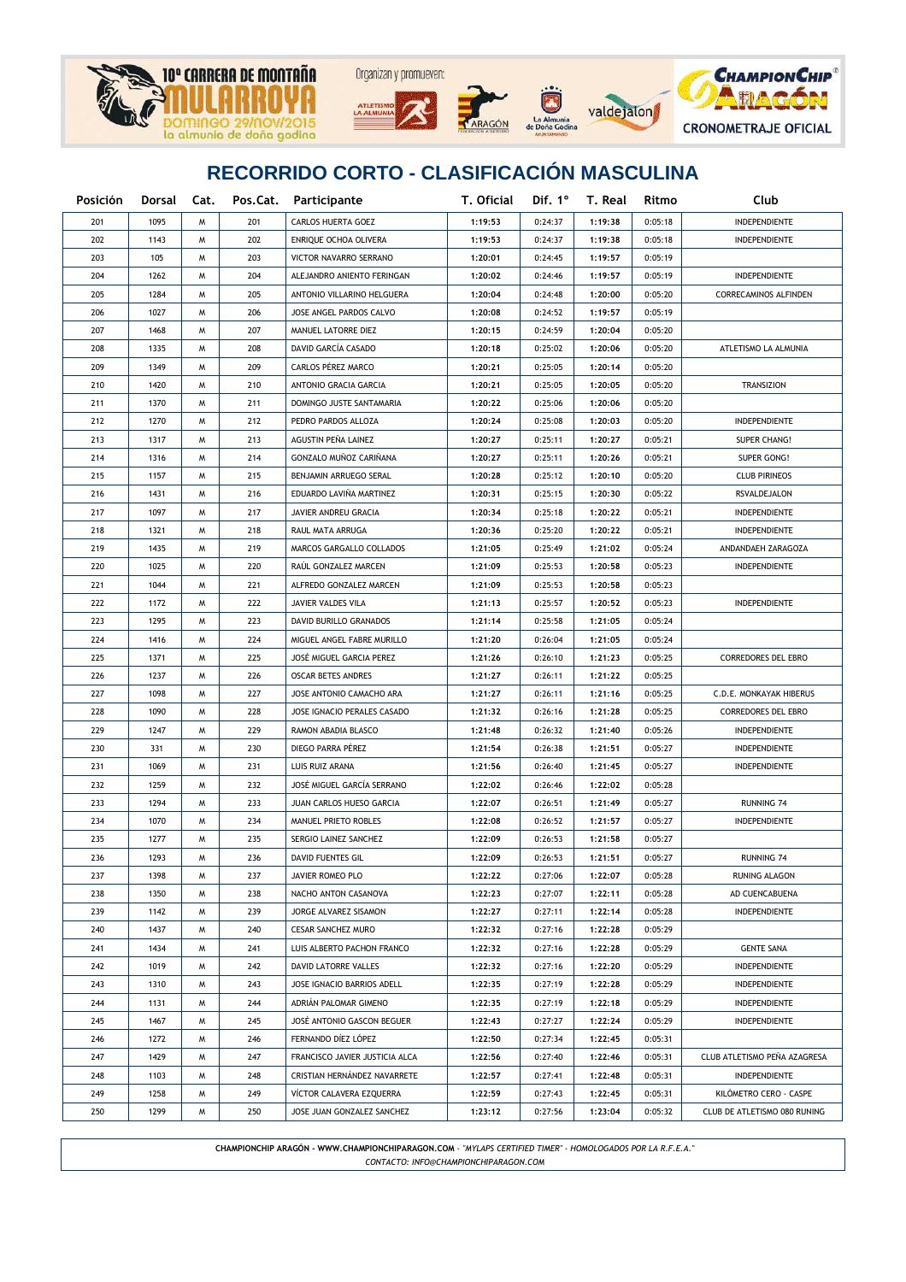







| Posición | Dorsal | Cat. |     | Pos.Cat. Participante          | T. Oficial |         | Dif. $1^\circ$ T. Real | Ritmo   | Club                         |
|----------|--------|------|-----|--------------------------------|------------|---------|------------------------|---------|------------------------------|
| 201      | 1095   | W    | 201 | <b>CARLOS HUERTA GOEZ</b>      | 1:19:53    | 0:24:37 | 1:19:38                | 0:05:18 | INDEPENDIENTE                |
| 202      | 1143   | Μ    | 202 | ENRIQUE OCHOA OLIVERA          | 1:19:53    | 0:24:37 | 1:19:38                | 0:05:18 | INDEPENDIENTE                |
| 203      | 105    | м    | 203 | VICTOR NAVARRO SERRANO         | 1:20:01    | 0:24:45 | 1:19:57                | 0:05:19 |                              |
| 204      | 1262   | м    | 204 | ALEJANDRO ANIENTO FERINGAN     | 1:20:02    | 0:24:46 | 1:19:57                | 0:05:19 | INDEPENDIENTE                |
| 205      | 1284   | м    | 205 | ANTONIO VILLARINO HELGUERA     | 1:20:04    | 0:24:48 | 1:20:00                | 0:05:20 | CORRECAMINOS ALFINDEN        |
| 206      | 1027   | м    | 206 | JOSE ANGEL PARDOS CALVO        | 1:20:08    | 0:24:52 | 1:19:57                | 0:05:19 |                              |
| 207      | 1468   | м    | 207 | MANUEL LATORRE DIEZ            | 1:20:15    | 0:24:59 | 1:20:04                | 0:05:20 |                              |
| 208      | 1335   | W    | 208 | DAVID GARCÍA CASADO            | 1:20:18    | 0:25:02 | 1:20:06                | 0:05:20 | ATLETISMO LA ALMUNIA         |
| 209      | 1349   | м    | 209 | CARLOS PÉREZ MARCO             | 1:20:21    | 0:25:05 | 1:20:14                | 0:05:20 |                              |
| 210      | 1420   | м    | 210 | ANTONIO GRACIA GARCIA          | 1:20:21    | 0:25:05 | 1:20:05                | 0:05:20 | <b>TRANSIZION</b>            |
| 211      | 1370   | м    | 211 | DOMINGO JUSTE SANTAMARIA       | 1:20:22    | 0:25:06 | 1:20:06                | 0:05:20 |                              |
| 212      | 1270   | м    | 212 | PEDRO PARDOS ALLOZA            | 1:20:24    | 0:25:08 | 1:20:03                | 0:05:20 | INDEPENDIENTE                |
| 213      | 1317   | м    | 213 | AGUSTIN PEÑA LAINEZ            | 1:20:27    | 0:25:11 | 1:20:27                | 0:05:21 | <b>SUPER CHANG!</b>          |
| 214      | 1316   | м    | 214 | GONZALO MUÑOZ CARIÑANA         | 1:20:27    | 0:25:11 | 1:20:26                | 0:05:21 | SUPER GONG!                  |
| 215      | 1157   | м    | 215 | BENJAMIN ARRUEGO SERAL         | 1:20:28    | 0:25:12 | 1:20:10                | 0:05:20 | <b>CLUB PIRINEOS</b>         |
| 216      | 1431   | м    | 216 | EDUARDO LAVIÑA MARTINEZ        | 1:20:31    | 0:25:15 | 1:20:30                | 0:05:22 | RSVALDEJALON                 |
| 217      | 1097   | м    | 217 | JAVIER ANDREU GRACIA           | 1:20:34    | 0:25:18 | 1:20:22                | 0:05:21 | INDEPENDIENTE                |
| 218      | 1321   | м    | 218 | RAUL MATA ARRUGA               | 1:20:36    | 0:25:20 | 1:20:22                | 0:05:21 | INDEPENDIENTE                |
| 219      | 1435   | м    | 219 | MARCOS GARGALLO COLLADOS       | 1:21:05    | 0:25:49 | 1:21:02                | 0:05:24 | ANDANDAEH ZARAGOZA           |
| 220      | 1025   | м    | 220 | RAÚL GONZALEZ MARCEN           | 1:21:09    | 0:25:53 | 1:20:58                | 0:05:23 | INDEPENDIENTE                |
| 221      | 1044   | м    | 221 | ALFREDO GONZALEZ MARCEN        | 1:21:09    | 0:25:53 | 1:20:58                | 0:05:23 |                              |
| 222      | 1172   | м    | 222 | JAVIER VALDES VILA             | 1:21:13    | 0:25:57 | 1:20:52                | 0:05:23 | INDEPENDIENTE                |
| 223      | 1295   | м    | 223 | DAVID BURILLO GRANADOS         | 1:21:14    | 0:25:58 | 1:21:05                | 0:05:24 |                              |
| 224      | 1416   | м    | 224 | MIGUEL ANGEL FABRE MURILLO     | 1:21:20    | 0:26:04 | 1:21:05                | 0:05:24 |                              |
| 225      | 1371   | м    | 225 | JOSÉ MIGUEL GARCIA PEREZ       | 1:21:26    | 0:26:10 | 1:21:23                | 0:05:25 | CORREDORES DEL EBRO          |
| 226      | 1237   | м    | 226 | <b>OSCAR BETES ANDRES</b>      | 1:21:27    | 0:26:11 | 1:21:22                | 0:05:25 |                              |
| 227      | 1098   | м    | 227 | JOSE ANTONIO CAMACHO ARA       | 1:21:27    | 0:26:11 | 1:21:16                | 0:05:25 | C.D.E. MONKAYAK HIBERUS      |
| 228      | 1090   | м    | 228 | JOSE IGNACIO PERALES CASADO    | 1:21:32    | 0:26:16 | 1:21:28                | 0:05:25 | CORREDORES DEL EBRO          |
| 229      | 1247   | м    | 229 | RAMON ABADIA BLASCO            | 1:21:48    | 0:26:32 | 1:21:40                | 0:05:26 | INDEPENDIENTE                |
| 230      | 331    | м    | 230 | DIEGO PARRA PÉREZ              | 1:21:54    | 0:26:38 | 1:21:51                | 0:05:27 | INDEPENDIENTE                |
| 231      | 1069   | W    | 231 | LUIS RUIZ ARANA                | 1:21:56    | 0:26:40 | 1:21:45                | 0:05:27 | INDEPENDIENTE                |
| 232      | 1259   | W    | 232 | JOSÉ MIGUEL GARCÍA SERRANO     | 1:22:02    | 0:26:46 | 1:22:02                | 0:05:28 |                              |
| 233      | 1294   | м    | 233 | JUAN CARLOS HUESO GARCIA       | 1:22:07    | 0:26:51 | 1:21:49                | 0:05:27 | RUNNING 74                   |
| 234      | 1070   | м    | 234 | MANUEL PRIETO ROBLES           | 1:22:08    | 0:26:52 | 1:21:57                | 0:05:27 | INDEPENDIENTE                |
| 235      | 1277   | м    | 235 | SERGIO LAINEZ SANCHEZ          | 1:22:09    | 0:26:53 | 1:21:58                | 0:05:27 |                              |
| 236      | 1293   | W    | 236 | DAVID FUENTES GIL              | 1:22:09    | 0:26:53 | 1:21:51                | 0:05:27 | <b>RUNNING 74</b>            |
| 237      | 1398   | W    | 237 | JAVIER ROMEO PLO               | 1:22:22    | 0:27:06 | 1:22:07                | 0:05:28 | RUNING ALAGON                |
| 238      | 1350   | м    | 238 | NACHO ANTON CASANOVA           | 1:22:23    | 0:27:07 | 1:22:11                | 0:05:28 | AD CUENCABUENA               |
| 239      | 1142   | м    | 239 | JORGE ALVAREZ SISAMON          | 1:22:27    | 0:27:11 | 1:22:14                | 0:05:28 | INDEPENDIENTE                |
| 240      | 1437   | Μ    | 240 | CESAR SANCHEZ MURO             | 1:22:32    | 0:27:16 | 1:22:28                | 0:05:29 |                              |
| 241      | 1434   | м    | 241 | LUIS ALBERTO PACHON FRANCO     | 1:22:32    | 0:27:16 | 1:22:28                | 0:05:29 | <b>GENTE SANA</b>            |
| 242      | 1019   | м    | 242 | DAVID LATORRE VALLES           | 1:22:32    | 0:27:16 | 1:22:20                | 0:05:29 | INDEPENDIENTE                |
| 243      | 1310   | Μ    | 243 | JOSE IGNACIO BARRIOS ADELL     | 1:22:35    | 0:27:19 | 1:22:28                | 0:05:29 | INDEPENDIENTE                |
| 244      | 1131   | Μ    | 244 | ADRIÁN PALOMAR GIMENO          | 1:22:35    | 0:27:19 | 1:22:18                | 0:05:29 | INDEPENDIENTE                |
| 245      | 1467   | Μ    | 245 | JOSÉ ANTONIO GASCON BEGUER     | 1:22:43    | 0:27:27 | 1:22:24                | 0:05:29 | INDEPENDIENTE                |
| 246      | 1272   | Μ    | 246 | FERNANDO DIEZ LOPEZ            | 1:22:50    | 0:27:34 | 1:22:45                | 0:05:31 |                              |
| 247      | 1429   | Μ    | 247 | FRANCISCO JAVIER JUSTICIA ALCA | 1:22:56    | 0:27:40 | 1:22:46                | 0:05:31 | CLUB ATLETISMO PEÑA AZAGRESA |
| 248      | 1103   | Μ    | 248 | CRISTIAN HERNANDEZ NAVARRETE   | 1:22:57    | 0:27:41 | 1:22:48                | 0:05:31 | INDEPENDIENTE                |
| 249      | 1258   | м    | 249 | VÍCTOR CALAVERA EZQUERRA       | 1:22:59    | 0:27:43 | 1:22:45                | 0:05:31 | KILOMETRO CERO - CASPE       |
| 250      | 1299   | м    | 250 | JOSE JUAN GONZALEZ SANCHEZ     | 1:23:12    | 0:27:56 | 1:23:04                | 0:05:32 | CLUB DE ATLETISMO 080 RUNING |
|          |        |      |     |                                |            |         |                        |         |                              |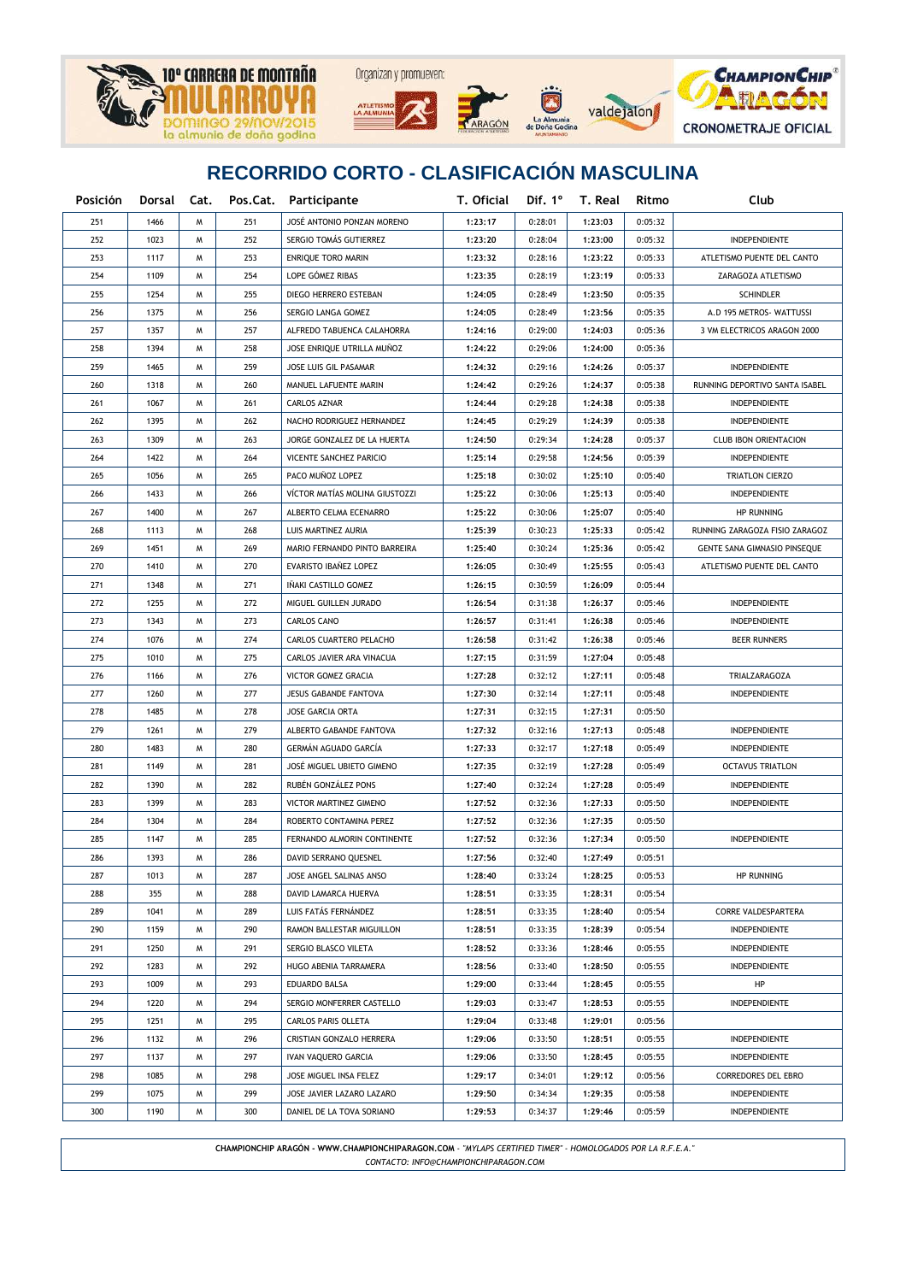





La Almunia<br>Doña God



# **RECORRIDO CORTO - CLASIFICACIÓN MASCULINA**

| Posición | Dorsal | Cat. |     | Pos.Cat. Participante          | T. Oficial |         | Dif. 1° T. Real | Ritmo   | Club                           |
|----------|--------|------|-----|--------------------------------|------------|---------|-----------------|---------|--------------------------------|
| 251      | 1466   | W    | 251 | JOSÉ ANTONIO PONZAN MORENO     | 1:23:17    | 0:28:01 | 1:23:03         | 0:05:32 |                                |
| 252      | 1023   | W    | 252 | SERGIO TOMÁS GUTIERREZ         | 1:23:20    | 0:28:04 | 1:23:00         | 0:05:32 | INDEPENDIENTE                  |
| 253      | 1117   | Μ    | 253 | <b>ENRIQUE TORO MARIN</b>      | 1:23:32    | 0:28:16 | 1:23:22         | 0:05:33 | ATLETISMO PUENTE DEL CANTO     |
| 254      | 1109   | M    | 254 | LOPE GÓMEZ RIBAS               | 1:23:35    | 0:28:19 | 1:23:19         | 0:05:33 | ZARAGOZA ATLETISMO             |
| 255      | 1254   | M    | 255 | DIEGO HERRERO ESTEBAN          | 1:24:05    | 0:28:49 | 1:23:50         | 0:05:35 | SCHINDLER                      |
| 256      | 1375   | Μ    | 256 | SERGIO LANGA GOMEZ             | 1:24:05    | 0:28:49 | 1:23:56         | 0:05:35 | A.D 195 METROS- WATTUSSI       |
| 257      | 1357   | М    | 257 | ALFREDO TABUENCA CALAHORRA     | 1:24:16    | 0:29:00 | 1:24:03         | 0:05:36 | 3 VM ELECTRICOS ARAGON 2000    |
| 258      | 1394   | М    | 258 | JOSE ENRIQUE UTRILLA MUÑOZ     | 1:24:22    | 0:29:06 | 1:24:00         | 0:05:36 |                                |
| 259      | 1465   | М    | 259 | JOSE LUIS GIL PASAMAR          | 1:24:32    | 0:29:16 | 1:24:26         | 0:05:37 | INDEPENDIENTE                  |
| 260      | 1318   | М    | 260 | MANUEL LAFUENTE MARIN          | 1:24:42    | 0:29:26 | 1:24:37         | 0:05:38 | RUNNING DEPORTIVO SANTA ISABEL |
| 261      | 1067   | М    | 261 | CARLOS AZNAR                   | 1:24:44    | 0:29:28 | 1:24:38         | 0:05:38 | INDEPENDIENTE                  |
| 262      | 1395   | М    | 262 | NACHO RODRIGUEZ HERNANDEZ      | 1:24:45    | 0:29:29 | 1:24:39         | 0:05:38 | INDEPENDIENTE                  |
| 263      | 1309   | М    | 263 | JORGE GONZALEZ DE LA HUERTA    | 1:24:50    | 0:29:34 | 1:24:28         | 0:05:37 | <b>CLUB IBON ORIENTACION</b>   |
| 264      | 1422   | М    | 264 | VICENTE SANCHEZ PARICIO        | 1:25:14    | 0:29:58 | 1:24:56         | 0:05:39 | INDEPENDIENTE                  |
| 265      | 1056   | Μ    | 265 | PACO MUÑOZ LOPEZ               | 1:25:18    | 0:30:02 | 1:25:10         | 0:05:40 | TRIATLON CIERZO                |
| 266      | 1433   | м    | 266 | VÍCTOR MATÍAS MOLINA GIUSTOZZI | 1:25:22    | 0:30:06 | 1:25:13         | 0:05:40 | INDEPENDIENTE                  |
| 267      | 1400   | м    | 267 | ALBERTO CELMA ECENARRO         | 1:25:22    | 0:30:06 | 1:25:07         | 0:05:40 | <b>HP RUNNING</b>              |
| 268      | 1113   | м    | 268 | LUIS MARTINEZ AURIA            | 1:25:39    | 0:30:23 | 1:25:33         | 0:05:42 | RUNNING ZARAGOZA FISIO ZARAGOZ |
| 269      | 1451   | м    | 269 | MARIO FERNANDO PINTO BARREIRA  | 1:25:40    | 0:30:24 | 1:25:36         | 0:05:42 | GENTE SANA GIMNASIO PINSEQUE   |
| 270      | 1410   | м    | 270 | EVARISTO IBAÑEZ LOPEZ          | 1:26:05    | 0:30:49 | 1:25:55         | 0:05:43 | ATLETISMO PUENTE DEL CANTO     |
| 271      | 1348   | м    | 271 | IÑAKI CASTILLO GOMEZ           | 1:26:15    | 0:30:59 | 1:26:09         | 0:05:44 |                                |
| 272      | 1255   | м    | 272 | MIGUEL GUILLEN JURADO          | 1:26:54    | 0:31:38 | 1:26:37         | 0:05:46 | INDEPENDIENTE                  |
| 273      | 1343   | м    | 273 | CARLOS CANO                    | 1:26:57    | 0:31:41 | 1:26:38         | 0:05:46 | <b>INDEPENDIENTE</b>           |
| 274      | 1076   | м    | 274 | CARLOS CUARTERO PELACHO        | 1:26:58    | 0:31:42 | 1:26:38         | 0:05:46 | <b>BEER RUNNERS</b>            |
| 275      | 1010   | м    | 275 | CARLOS JAVIER ARA VINACUA      | 1:27:15    | 0:31:59 | 1:27:04         | 0:05:48 |                                |
| 276      | 1166   | м    | 276 | VICTOR GOMEZ GRACIA            | 1:27:28    | 0:32:12 | 1:27:11         | 0:05:48 | TRIALZARAGOZA                  |
| 277      | 1260   | М    | 277 | <b>JESUS GABANDE FANTOVA</b>   | 1:27:30    | 0:32:14 | 1:27:11         | 0:05:48 | INDEPENDIENTE                  |
| 278      | 1485   | М    | 278 | <b>JOSE GARCIA ORTA</b>        | 1:27:31    | 0:32:15 | 1:27:31         | 0:05:50 |                                |
| 279      | 1261   | М    | 279 | ALBERTO GABANDE FANTOVA        | 1:27:32    | 0:32:16 | 1:27:13         | 0:05:48 | INDEPENDIENTE                  |
| 280      | 1483   | М    | 280 | GERMÁN AGUADO GARCÍA           | 1:27:33    | 0:32:17 | 1:27:18         | 0:05:49 | INDEPENDIENTE                  |
| 281      | 1149   | м    | 281 | JOSÉ MIGUEL UBIETO GIMENO      | 1:27:35    | 0:32:19 | 1:27:28         | 0:05:49 | <b>OCTAVUS TRIATLON</b>        |
| 282      | 1390   | M    | 282 | RUBÉN GONZÁLEZ PONS            | 1:27:40    | 0:32:24 | 1:27:28         | 0:05:49 | INDEPENDIENTE                  |
| 283      | 1399   | М    | 283 | <b>VICTOR MARTINEZ GIMENO</b>  | 1:27:52    | 0:32:36 | 1:27:33         | 0:05:50 | INDEPENDIENTE                  |
| 284      | 1304   | М    | 284 | ROBERTO CONTAMINA PEREZ        | 1:27:52    | 0:32:36 | 1:27:35         | 0:05:50 |                                |
| 285      | 1147   | М    | 285 | FERNANDO ALMORIN CONTINENTE    | 1:27:52    | 0:32:36 | 1:27:34         | 0:05:50 | INDEPENDIENTE                  |
| 286      | 1393   | W    | 286 | DAVID SERRANO QUESNEL          | 1:27:56    | 0:32:40 | 1:27:49         | 0:05:51 |                                |
| 287      | 1013   | Μ    | 287 | JOSE ANGEL SALINAS ANSO        | 1:28:40    | 0:33:24 | 1:28:25         | 0:05:53 | <b>HP RUNNING</b>              |
| 288      | 355    | М    | 288 | DAVID LAMARCA HUERVA           | 1:28:51    | 0:33:35 | 1:28:31         | 0:05:54 |                                |
| 289      | 1041   | м    | 289 | LUIS FATÁS FERNÁNDEZ           | 1:28:51    | 0:33:35 | 1:28:40         | 0:05:54 | CORRE VALDESPARTERA            |
| 290      | 1159   | м    | 290 | RAMON BALLESTAR MIGUILLON      | 1:28:51    | 0:33:35 | 1:28:39         | 0:05:54 | INDEPENDIENTE                  |
| 291      | 1250   | м    | 291 | SERGIO BLASCO VILETA           | 1:28:52    | 0:33:36 | 1:28:46         | 0:05:55 | INDEPENDIENTE                  |
| 292      | 1283   | м    | 292 | HUGO ABENIA TARRAMERA          | 1:28:56    | 0:33:40 | 1:28:50         | 0:05:55 | INDEPENDIENTE                  |
| 293      | 1009   | м    | 293 | <b>EDUARDO BALSA</b>           | 1:29:00    | 0:33:44 | 1:28:45         | 0:05:55 | HP                             |
| 294      | 1220   | W    | 294 | SERGIO MONFERRER CASTELLO      | 1:29:03    | 0:33:47 | 1:28:53         | 0:05:55 | INDEPENDIENTE                  |
| 295      | 1251   | W    | 295 | CARLOS PARIS OLLETA            | 1:29:04    | 0:33:48 | 1:29:01         | 0:05:56 |                                |
| 296      | 1132   | W    | 296 | CRISTIAN GONZALO HERRERA       | 1:29:06    | 0:33:50 | 1:28:51         | 0:05:55 | INDEPENDIENTE                  |
| 297      | 1137   | м    | 297 | <b>IVAN VAQUERO GARCIA</b>     | 1:29:06    | 0:33:50 | 1:28:45         | 0:05:55 | INDEPENDIENTE                  |
| 298      | 1085   | м    | 298 | JOSE MIGUEL INSA FELEZ         | 1:29:17    | 0:34:01 | 1:29:12         | 0:05:56 | CORREDORES DEL EBRO            |
| 299      | 1075   | W    | 299 | JOSE JAVIER LAZARO LAZARO      | 1:29:50    | 0:34:34 | 1:29:35         | 0:05:58 | INDEPENDIENTE                  |
| 300      | 1190   | W    | 300 | DANIEL DE LA TOVA SORIANO      | 1:29:53    | 0:34:37 | 1:29:46         | 0:05:59 | INDEPENDIENTE                  |
|          |        |      |     |                                |            |         |                 |         |                                |